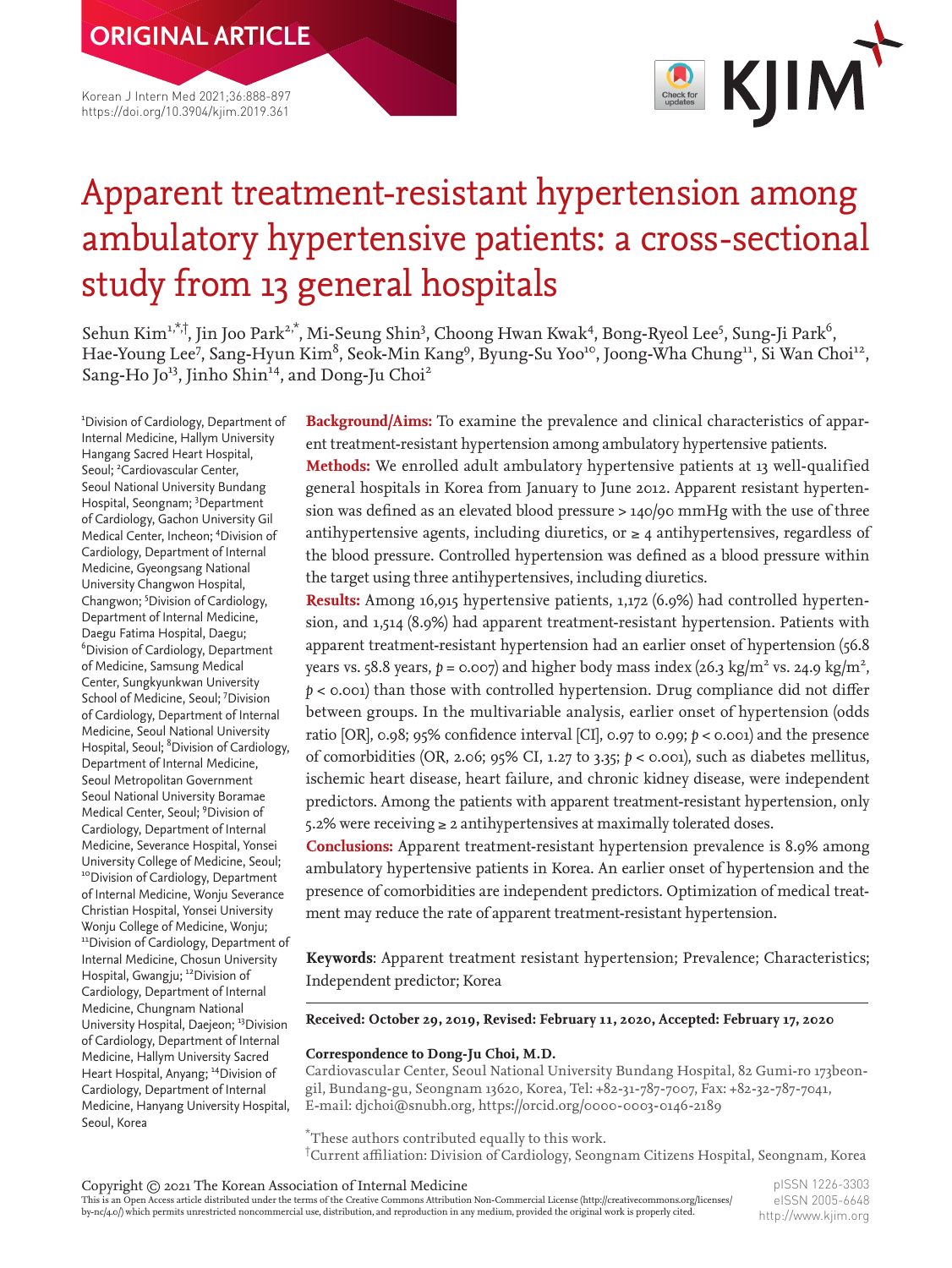**ORIGINAL ARTICLE**

Korean J Intern Med 2021;36:888-897 https://doi.org/10.3904/kjim.2019.361



### Apparent treatment-resistant hypertension among ambulatory hypertensive patients: a cross-sectional study from 13 general hospitals

Sehun Kim<sup>1,\*,†</sup>, Jin Joo Park<sup>2,\*</sup>, Mi-Seung Shin<sup>3</sup>, Choong Hwan Kwak<sup>4</sup>, Bong-Ryeol Lee<sup>5</sup>, Sung-Ji Park<sup>6</sup>, Hae-Young Lee<sup>7</sup>, Sang-Hyun Kim<sup>8</sup>, Seok-Min Kang<sup>9</sup>, Byung-Su Yoo<sup>10</sup>, Joong-Wha Chung<sup>11</sup>, Si Wan Choi<sup>12</sup>, Sang-Ho Jo<sup>13</sup>, Jinho Shin<sup>14</sup>, and Dong-Ju Choi<sup>2</sup>

1 Division of Cardiology, Department of Internal Medicine, Hallym University Hangang Sacred Heart Hospital, Seoul; <sup>2</sup>Cardiovascular Center, Seoul National University Bundang Hospital, Seongnam; 3 Department of Cardiology, Gachon University Gil Medical Center, Incheon; 4 Division of Cardiology, Department of Internal Medicine, Gyeongsang National University Changwon Hospital, Changwon; <sup>5</sup>Division of Cardiology, Department of Internal Medicine, Daegu Fatima Hospital, Daegu; 6 Division of Cardiology, Department of Medicine, Samsung Medical Center, Sungkyunkwan University School of Medicine, Seoul; <sup>7</sup>Division of Cardiology, Department of Internal Medicine, Seoul National University Hospital, Seoul; <sup>8</sup> Division of Cardiology, Department of Internal Medicine, Seoul Metropolitan Government Seoul National University Boramae Medical Center, Seoul; <sup>9</sup> Division of Cardiology, Department of Internal Medicine, Severance Hospital, Yonsei University College of Medicine, Seoul; <sup>10</sup>Division of Cardiology, Department of Internal Medicine, Wonju Severance Christian Hospital, Yonsei University Wonju College of Medicine, Wonju; <sup>11</sup>Division of Cardiology, Department of Internal Medicine, Chosun University Hospital, Gwangju; <sup>12</sup>Division of Cardiology, Department of Internal Medicine, Chungnam National University Hospital, Daejeon; <sup>13</sup>Division of Cardiology, Department of Internal Medicine, Hallym University Sacred Heart Hospital, Anyang; <sup>14</sup>Division of Cardiology, Department of Internal Medicine, Hanyang University Hospital, Seoul, Korea

**Background/Aims:** To examine the prevalence and clinical characteristics of apparent treatment-resistant hypertension among ambulatory hypertensive patients.

**Methods:** We enrolled adult ambulatory hypertensive patients at 13 well-qualified general hospitals in Korea from January to June 2012. Apparent resistant hypertension was defined as an elevated blood pressure > 140/90 mmHg with the use of three antihypertensive agents, including diuretics, or  $\geq 4$  antihypertensives, regardless of the blood pressure. Controlled hypertension was defined as a blood pressure within the target using three antihypertensives, including diuretics.

**Results:** Among 16,915 hypertensive patients, 1,172 (6.9%) had controlled hypertension, and 1,514 (8.9%) had apparent treatment-resistant hypertension. Patients with apparent treatment-resistant hypertension had an earlier onset of hypertension (56.8 years vs. 58.8 years,  $p = 0.0$ 07) and higher body mass index (26.3 kg/m<sup>2</sup> vs. 24.9 kg/m<sup>2</sup>, *p* < 0.001) than those with controlled hypertension. Drug compliance did not differ between groups. In the multivariable analysis, earlier onset of hypertension (odds ratio [OR], 0.98; 95% confidence interval [CI], 0.97 to 0.99; *p* < 0.001) and the presence of comorbidities (OR, 2.06; 95% CI, 1.27 to 3.35; *p* < 0.001), such as diabetes mellitus, ischemic heart disease, heart failure, and chronic kidney disease, were independent predictors. Among the patients with apparent treatment-resistant hypertension, only 5.2% were receiving  $\geq$  2 antihypertensives at maximally tolerated doses.

**Conclusions:** Apparent treatment-resistant hypertension prevalence is 8.9% among ambulatory hypertensive patients in Korea. An earlier onset of hypertension and the presence of comorbidities are independent predictors. Optimization of medical treatment may reduce the rate of apparent treatment-resistant hypertension.

**Keywords**: Apparent treatment resistant hypertension; Prevalence; Characteristics; Independent predictor; Korea

#### **Received: October 29, 2019, Revised: February 11, 2020, Accepted: February 17, 2020**

#### **Correspondence to Dong-Ju Choi, M.D.**

Cardiovascular Center, Seoul National University Bundang Hospital, 82 Gumi-ro 173beongil, Bundang-gu, Seongnam 13620, Korea, Tel: +82-31-787-7007, Fax: +82-32-787-7041, E-mail: [djchoi@snubh.org](mailto:djchoi@snubh.org), https://orcid.org/0000-0003-0146-2189

\* These authors contributed equally to this work. † Current affiliation: Division of Cardiology, Seongnam Citizens Hospital, Seongnam, Korea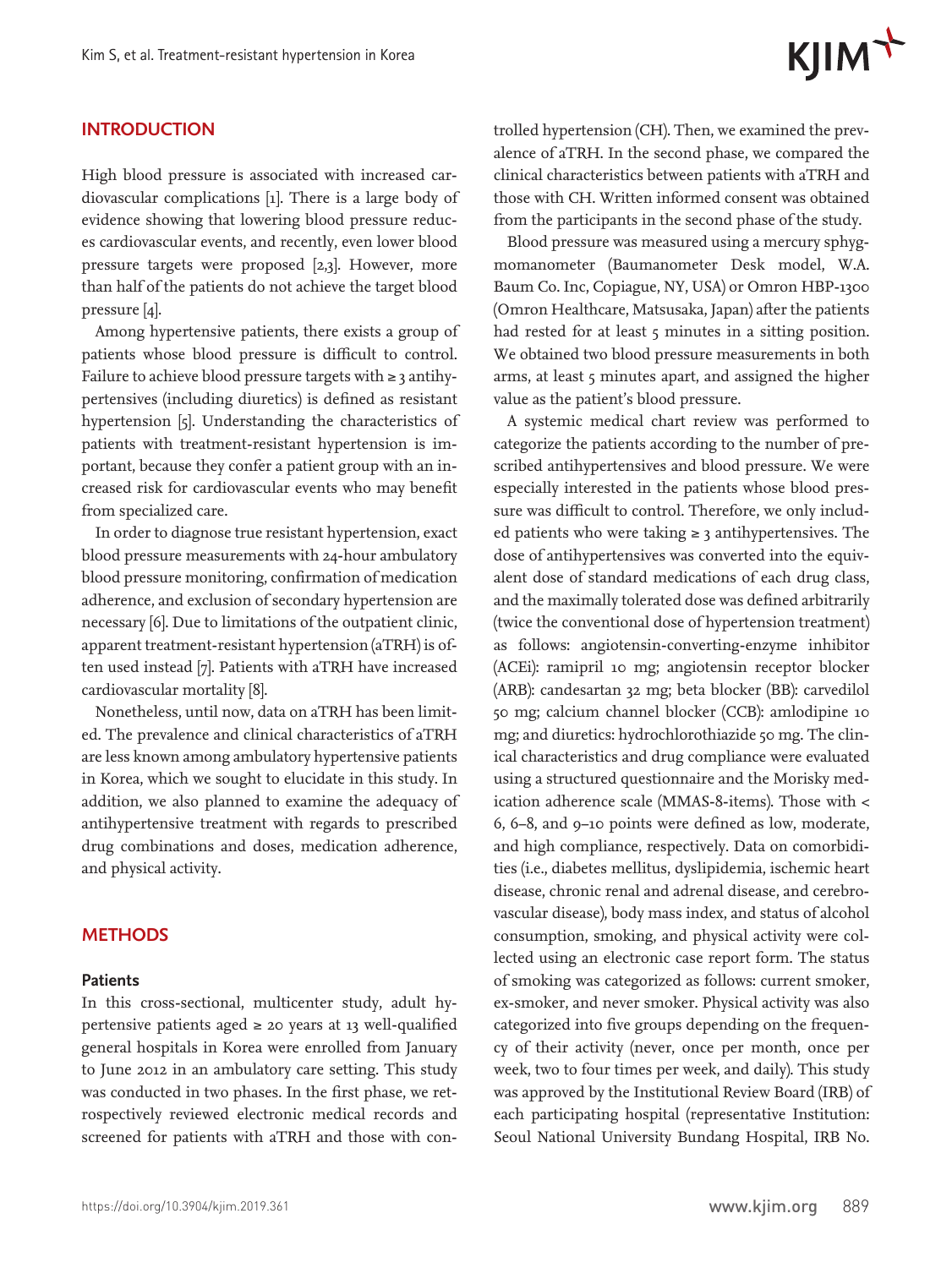#### **INTRODUCTION**

High blood pressure is associated with increased cardiovascular complications [1]. There is a large body of evidence showing that lowering blood pressure reduces cardiovascular events, and recently, even lower blood pressure targets were proposed [2,3]. However, more than half of the patients do not achieve the target blood pressure [4].

Among hypertensive patients, there exists a group of patients whose blood pressure is difficult to control. Failure to achieve blood pressure targets with ≥ 3 antihypertensives (including diuretics) is defined as resistant hypertension [5]. Understanding the characteristics of patients with treatment-resistant hypertension is important, because they confer a patient group with an increased risk for cardiovascular events who may benefit from specialized care.

In order to diagnose true resistant hypertension, exact blood pressure measurements with 24-hour ambulatory blood pressure monitoring, confirmation of medication adherence, and exclusion of secondary hypertension are necessary [6]. Due to limitations of the outpatient clinic, apparent treatment-resistant hypertension (aTRH) is often used instead [7]. Patients with aTRH have increased cardiovascular mortality [8].

Nonetheless, until now, data on aTRH has been limited. The prevalence and clinical characteristics of aTRH are less known among ambulatory hypertensive patients in Korea, which we sought to elucidate in this study. In addition, we also planned to examine the adequacy of antihypertensive treatment with regards to prescribed drug combinations and doses, medication adherence, and physical activity.

#### **METHODS**

#### **Patients**

In this cross-sectional, multicenter study, adult hypertensive patients aged  $\ge$  20 years at 13 well-qualified general hospitals in Korea were enrolled from January to June 2012 in an ambulatory care setting. This study was conducted in two phases. In the first phase, we retrospectively reviewed electronic medical records and screened for patients with aTRH and those with con-



trolled hypertension (CH). Then, we examined the prevalence of aTRH. In the second phase, we compared the clinical characteristics between patients with aTRH and those with CH. Written informed consent was obtained from the participants in the second phase of the study.

Blood pressure was measured using a mercury sphygmomanometer (Baumanometer Desk model, W.A. Baum Co. Inc, Copiague, NY, USA) or Omron HBP-1300 (Omron Healthcare, Matsusaka, Japan) after the patients had rested for at least 5 minutes in a sitting position. We obtained two blood pressure measurements in both arms, at least 5 minutes apart, and assigned the higher value as the patient's blood pressure.

A systemic medical chart review was performed to categorize the patients according to the number of prescribed antihypertensives and blood pressure. We were especially interested in the patients whose blood pressure was difficult to control. Therefore, we only included patients who were taking  $\geq$  3 antihypertensives. The dose of antihypertensives was converted into the equivalent dose of standard medications of each drug class, and the maximally tolerated dose was defined arbitrarily (twice the conventional dose of hypertension treatment) as follows: angiotensin-converting-enzyme inhibitor (ACEi): ramipril 10 mg; angiotensin receptor blocker (ARB): candesartan 32 mg; beta blocker (BB): carvedilol 50 mg; calcium channel blocker (CCB): amlodipine 10 mg; and diuretics: hydrochlorothiazide 50 mg. The clinical characteristics and drug compliance were evaluated using a structured questionnaire and the Morisky medication adherence scale (MMAS-8-items). Those with < 6, 6−8, and 9−10 points were defined as low, moderate, and high compliance, respectively. Data on comorbidities (i.e., diabetes mellitus, dyslipidemia, ischemic heart disease, chronic renal and adrenal disease, and cerebrovascular disease), body mass index, and status of alcohol consumption, smoking, and physical activity were collected using an electronic case report form. The status of smoking was categorized as follows: current smoker, ex-smoker, and never smoker. Physical activity was also categorized into five groups depending on the frequency of their activity (never, once per month, once per week, two to four times per week, and daily). This study was approved by the Institutional Review Board (IRB) of each participating hospital (representative Institution: Seoul National University Bundang Hospital, IRB No.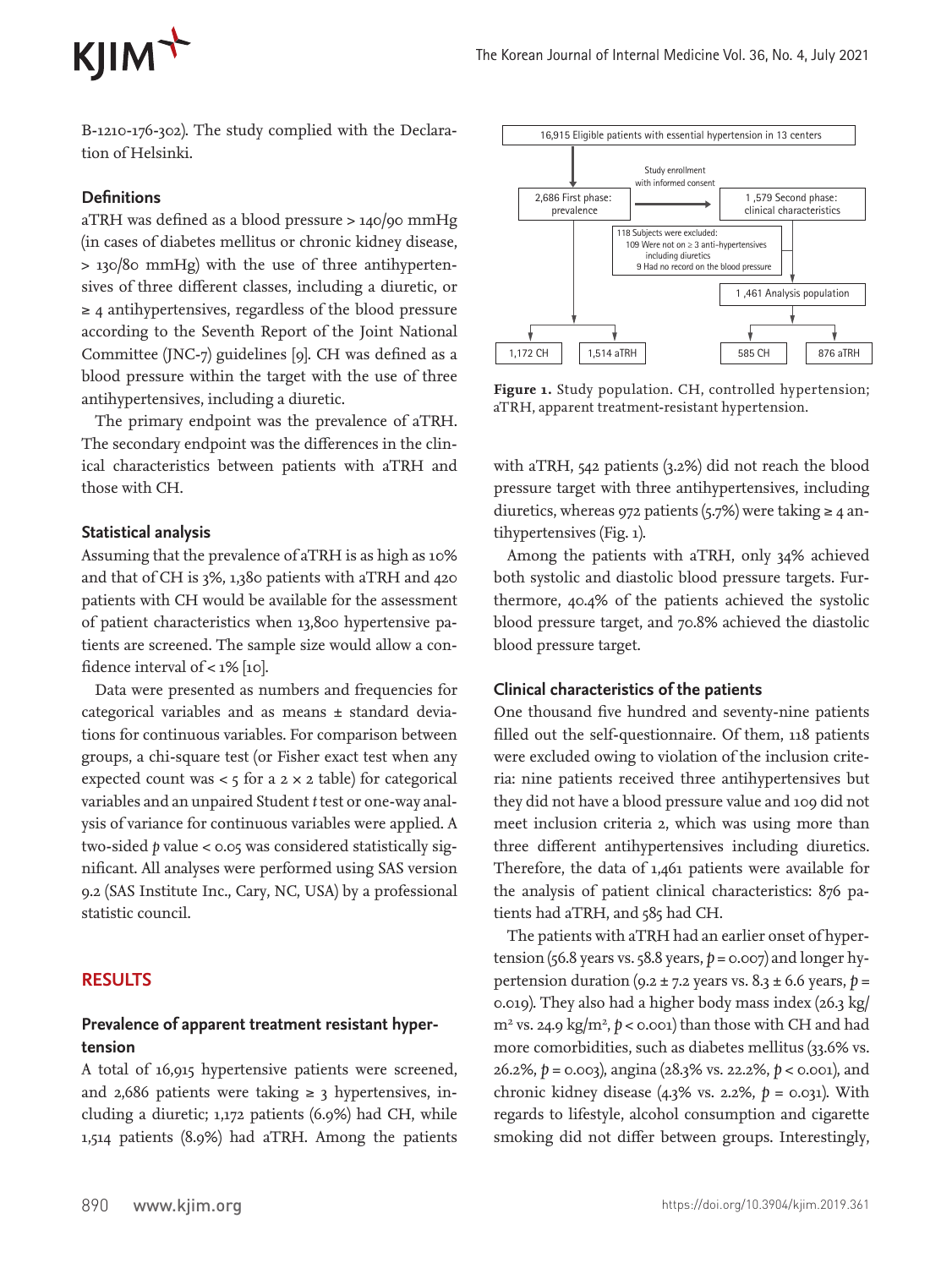## KJIM<sup>+</sup>

 B-1210-176-302). The study complied with the Declaration of Helsinki.

#### **Definitions**

aTRH was defined as a blood pressure > 140/90 mmHg (in cases of diabetes mellitus or chronic kidney disease, > 130/80 mmHg) with the use of three antihypertensives of three different classes, including a diuretic, or ≥ 4 antihypertensives, regardless of the blood pressure according to the Seventh Report of the Joint National Committee (JNC-7) guidelines [9]. CH was defined as a blood pressure within the target with the use of three antihypertensives, including a diuretic.

The primary endpoint was the prevalence of aTRH. The secondary endpoint was the differences in the clinical characteristics between patients with aTRH and those with CH.

#### **Statistical analysis**

Assuming that the prevalence of aTRH is as high as 10% and that of CH is 3%, 1,380 patients with aTRH and 420 patients with CH would be available for the assessment of patient characteristics when 13,800 hypertensive patients are screened. The sample size would allow a confidence interval of  $<$  1% [10].

Data were presented as numbers and frequencies for categorical variables and as means ± standard deviations for continuous variables. For comparison between groups, a chi-square test (or Fisher exact test when any expected count was  $<$  5 for a 2  $\times$  2 table) for categorical variables and an unpaired Student *t* test or one-way analysis of variance for continuous variables were applied. A two-sided *p* value < 0.05 was considered statistically significant. All analyses were performed using SAS version 9.2 (SAS Institute Inc., Cary, NC, USA) by a professional statistic council.

#### **RESULTS**

#### **Prevalence of apparent treatment resistant hypertension**

A total of 16,915 hypertensive patients were screened, and 2,686 patients were taking  $\geq$  3 hypertensives, including a diuretic; 1,172 patients (6.9%) had CH, while 1,514 patients (8.9%) had aTRH. Among the patients



**Figure 1.** Study population. CH, controlled hypertension; aTRH, apparent treatment-resistant hypertension.

with aTRH, 542 patients (3.2%) did not reach the blood pressure target with three antihypertensives, including diuretics, whereas 972 patients (5.7%) were taking  $\geq 4$  antihypertensives (Fig. 1).

Among the patients with aTRH, only 34% achieved both systolic and diastolic blood pressure targets. Furthermore, 40.4% of the patients achieved the systolic blood pressure target, and 70.8% achieved the diastolic blood pressure target.

#### **Clinical characteristics of the patients**

One thousand five hundred and seventy-nine patients filled out the self-questionnaire. Of them, 118 patients were excluded owing to violation of the inclusion criteria: nine patients received three antihypertensives but they did not have a blood pressure value and 109 did not meet inclusion criteria 2, which was using more than three different antihypertensives including diuretics. Therefore, the data of 1,461 patients were available for the analysis of patient clinical characteristics: 876 patients had aTRH, and 585 had CH.

The patients with aTRH had an earlier onset of hypertension (56.8 years vs. 58.8 years,  $p = 0.007$ ) and longer hypertension duration ( $9.2 \pm 7.2$  years vs.  $8.3 \pm 6.6$  years,  $p =$ 0.019). They also had a higher body mass index (26.3 kg/  $m<sup>2</sup>$  vs. 24.9 kg/m<sup>2</sup>,  $p <$  0.001) than those with CH and had more comorbidities, such as diabetes mellitus (33.6% vs. 26.2%, *p* = 0.003), angina (28.3% vs. 22.2%, *p* < 0.001), and chronic kidney disease (4.3% vs. 2.2%, *p* = 0.031). With regards to lifestyle, alcohol consumption and cigarette smoking did not differ between groups. Interestingly,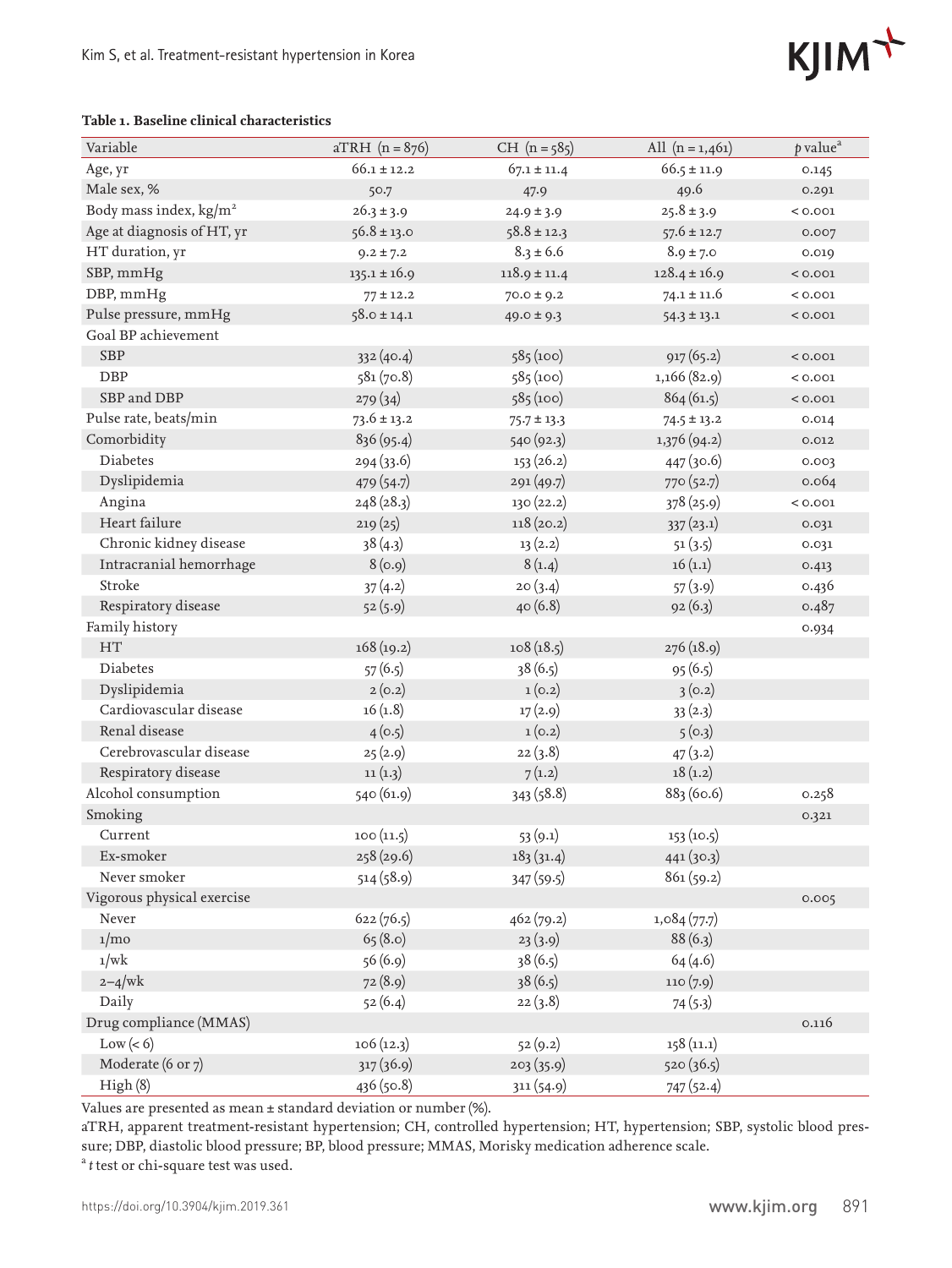# KJIM<sup>+</sup>

#### **Table 1. Baseline clinical characteristics**

| Variable                         | $aTRH (n = 876)$ | $CH (n = 585)$   | All $(n = 1,461)$ | $p$ value <sup><math>a</math></sup> |
|----------------------------------|------------------|------------------|-------------------|-------------------------------------|
| Age, yr                          | $66.1 \pm 12.2$  | $67.1 \pm 11.4$  | $66.5 \pm 11.9$   | 0.145                               |
| Male sex, %                      | 50.7             | 47.9             | 49.6              | 0.291                               |
| Body mass index, $\text{kg/m}^2$ | $26.3 \pm 3.9$   | $24.9 \pm 3.9$   | $25.8 \pm 3.9$    | < 0.001                             |
| Age at diagnosis of HT, yr       | $56.8 \pm 13.0$  | $58.8 \pm 12.3$  | $57.6 \pm 12.7$   | 0.007                               |
| HT duration, yr                  | $9.2 \pm 7.2$    | $8.3 \pm 6.6$    | $8.9 \pm 7.0$     | 0.019                               |
| SBP, mmHg                        | $135.1 \pm 16.9$ | $118.9 \pm 11.4$ | $128.4 \pm 16.9$  | < 0.001                             |
| DBP, mmHg                        | $77 \pm 12.2$    | $70.0 \pm 9.2$   | $74.1 \pm 11.6$   | < 0.001                             |
| Pulse pressure, mmHg             | $58.0 \pm 14.1$  | $49.0 \pm 9.3$   | $54.3 \pm 13.1$   | < 0.001                             |
| Goal BP achievement              |                  |                  |                   |                                     |
| <b>SBP</b>                       | 332(40.4)        | 585(100)         | 917(65.2)         | < 0.001                             |
| $\rm DBP$                        | 581(70.8)        | 585(100)         | 1,166 (82.9)      | < 0.001                             |
| SBP and DBP                      | 279(34)          | 585(100)         | 864(61.5)         | < 0.001                             |
| Pulse rate, beats/min            | $73.6 \pm 13.2$  | $75.7 \pm 13.3$  | $74.5 \pm 13.2$   | 0.014                               |
| Comorbidity                      | 836 (95.4)       | 540 (92.3)       | 1,376 (94.2)      | 0.012                               |
| Diabetes                         | 294(33.6)        | 153(26.2)        | 447 (30.6)        | 0.003                               |
| Dyslipidemia                     | 479 (54.7)       | 291(49.7)        | 770 (52.7)        | 0.064                               |
| Angina                           | 248 (28.3)       | 130 (22.2)       | 378 (25.9)        | < 0.001                             |
| Heart failure                    | 219(25)          | 118(20.2)        | 337(23.1)         | 0.031                               |
| Chronic kidney disease           | 38(4.3)          | 13(2.2)          | 51(3.5)           | 0.031                               |
| Intracranial hemorrhage          | 8(0.9)           | 8(1.4)           | 16(1.1)           | 0.413                               |
| Stroke                           | 37(4.2)          | 20(3.4)          | 57(3.9)           | 0.436                               |
| Respiratory disease              | 52(5.9)          | 40(6.8)          | 92(6.3)           | 0.487                               |
| Family history                   |                  |                  |                   | 0.934                               |
| <b>HT</b>                        | 168(19.2)        | 108(18.5)        | 276 (18.9)        |                                     |
| Diabetes                         | 57(6.5)          | 38(6.5)          | 95(6.5)           |                                     |
| Dyslipidemia                     | 2(0.2)           | 1(0.2)           | 3(0.2)            |                                     |
| Cardiovascular disease           | 16(1.8)          | 17(2.9)          | 33(2.3)           |                                     |
| Renal disease                    | 4(0.5)           | 1(0.2)           | 5(0.3)            |                                     |
| Cerebrovascular disease          | 25(2.9)          | 22(3.8)          | 47(3.2)           |                                     |
| Respiratory disease              | 11(1.3)          | 7(1.2)           | 18(1.2)           |                                     |
| Alcohol consumption              | 540 (61.9)       | 343 (58.8)       | 883 (60.6)        | 0.258                               |
| Smoking                          |                  |                  |                   | 0.321                               |
| Current                          | 100(11.5)        | 53(9.1)          | 153(10.5)         |                                     |
| Ex-smoker                        | 258 (29.6)       | 183(31.4)        | 441(30.3)         |                                     |
| Never smoker                     | 514(58.9)        | 347 (59.5)       | 861(59.2)         |                                     |
| Vigorous physical exercise       |                  |                  |                   | 0.005                               |
| Never                            | 622(76.5)        | 462(79.2)        | 1,084(77.7)       |                                     |
| $1/m$ o                          | 65(8.0)          | 23(3.9)          | 88(6.3)           |                                     |
| 1/wk                             | 56 (6.9)         | 38(6.5)          | 64(4.6)           |                                     |
| $2 - 4$ /wk                      | 72(8.9)          | 38(6.5)          | 110(7.9)          |                                     |
| Daily                            | 52(6.4)          | 22(3.8)          | 74(5.3)           |                                     |
| Drug compliance (MMAS)           |                  |                  |                   | 0.116                               |
| Low(< 6)                         | 106(12.3)        | 52(9.2)          | 158(11.1)         |                                     |
| Moderate (6 or 7)                | 317(36.9)        | 203(35.9)        | 520(36.5)         |                                     |
| High(8)                          | 436 (50.8)       | 311(54.9)        | 747 (52.4)        |                                     |

Values are presented as mean ± standard deviation or number (%).

aTRH, apparent treatment-resistant hypertension; CH, controlled hypertension; HT, hypertension; SBP, systolic blood pressure; DBP, diastolic blood pressure; BP, blood pressure; MMAS, Morisky medication adherence scale.

<sup>a</sup>t test or chi-square test was used.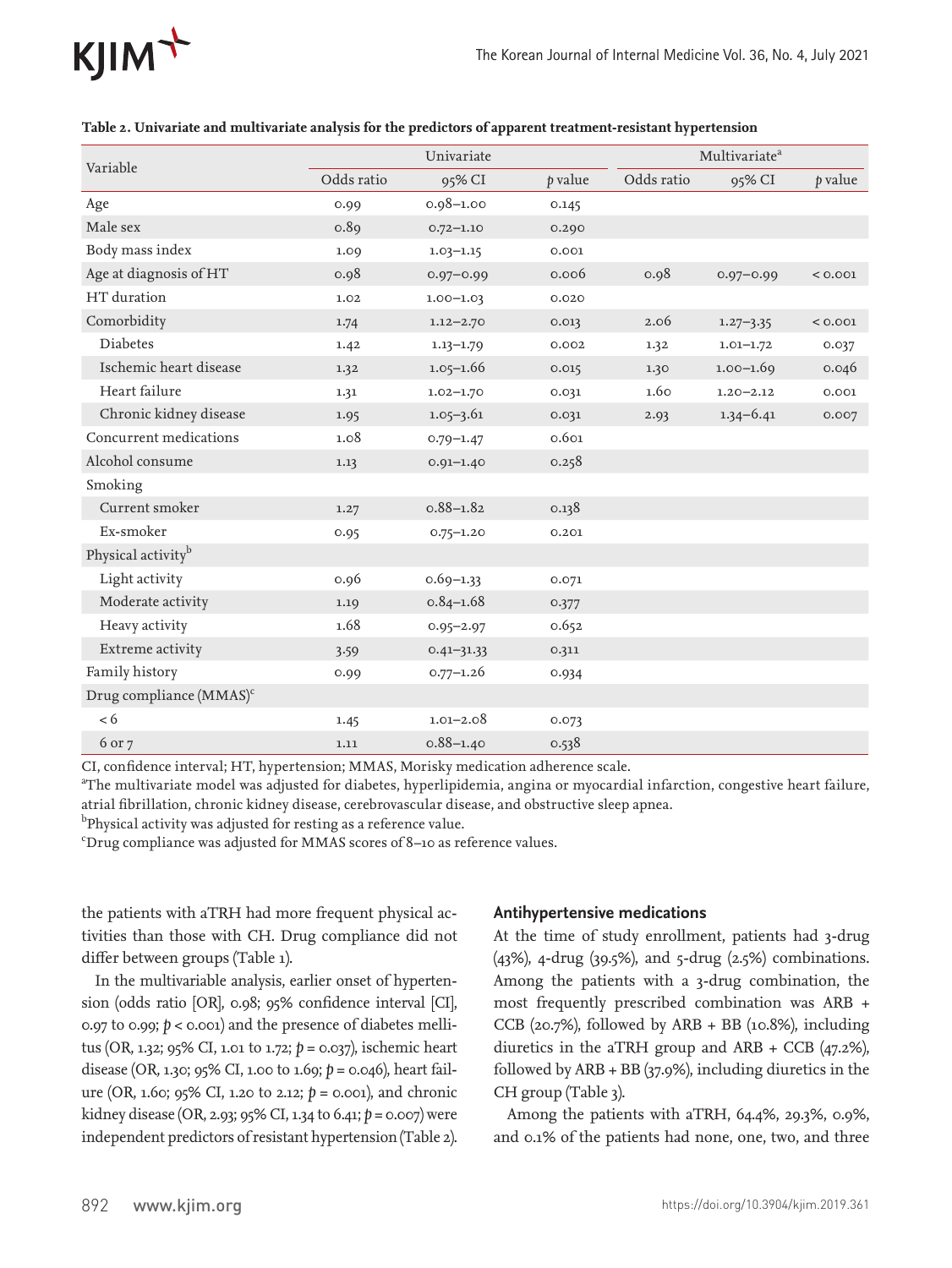

| Variable                       | Univariate |                | Multivariate <sup>a</sup> |            |               |         |
|--------------------------------|------------|----------------|---------------------------|------------|---------------|---------|
|                                | Odds ratio | 95% CI         | p value                   | Odds ratio | 95% CI        | p value |
| Age                            | 0.99       | $0.98 - 1.00$  | 0.145                     |            |               |         |
| Male sex                       | 0.89       | $0.72 - 1.10$  | 0.290                     |            |               |         |
| Body mass index                | 1.09       | $1.03 - 1.15$  | 0.001                     |            |               |         |
| Age at diagnosis of HT         | 0.98       | $0.97 - 0.99$  | 0.006                     | 0.98       | $0.97 - 0.99$ | < 0.001 |
| HT duration                    | 1.02       | $1.00 - 1.03$  | 0.020                     |            |               |         |
| Comorbidity                    | 1.74       | $1.12 - 2.70$  | 0.013                     | 2.06       | $1.27 - 3.35$ | < 0.001 |
| <b>Diabetes</b>                | 1.42       | $1.13 - 1.79$  | 0.002                     | 1.32       | $1.01 - 1.72$ | 0.037   |
| Ischemic heart disease         | 1.32       | $1.05 - 1.66$  | 0.015                     | 1.30       | $1.00 - 1.69$ | 0.046   |
| Heart failure                  | 1.31       | $1.02 - 1.70$  | 0.031                     | 1.60       | $1.20 - 2.12$ | 0.001   |
| Chronic kidney disease         | 1.95       | $1.05 - 3.61$  | 0.031                     | 2.93       | $1.34 - 6.41$ | 0.007   |
| Concurrent medications         | 1.08       | $0.79 - 1.47$  | 0.601                     |            |               |         |
| Alcohol consume                | 1.13       | $0.91 - 1.40$  | 0.258                     |            |               |         |
| Smoking                        |            |                |                           |            |               |         |
| Current smoker                 | 1.27       | $0.88 - 1.82$  | 0.138                     |            |               |         |
| Ex-smoker                      | 0.95       | $0.75 - 1.20$  | 0.201                     |            |               |         |
| Physical activity <sup>b</sup> |            |                |                           |            |               |         |
| Light activity                 | 0.96       | $0.69 - 1.33$  | 0.071                     |            |               |         |
| Moderate activity              | 1.19       | $0.84 - 1.68$  | 0.377                     |            |               |         |
| Heavy activity                 | 1.68       | $0.95 - 2.97$  | 0.652                     |            |               |         |
| Extreme activity               | 3.59       | $0.41 - 31.33$ | 0.311                     |            |               |         |
| Family history                 | 0.99       | $0.77 - 1.26$  | 0.934                     |            |               |         |
| Drug compliance $(MMAS)^c$     |            |                |                           |            |               |         |
| < 6                            | 1.45       | $1.01 - 2.08$  | 0.073                     |            |               |         |
| 6 or 7                         | 1.11       | $0.88 - 1.40$  | 0.538                     |            |               |         |

| Table 2. Univariate and multivariate analysis for the predictors of apparent treatment-resistant hypertension |  |  |
|---------------------------------------------------------------------------------------------------------------|--|--|
|                                                                                                               |  |  |

CI, confidence interval; HT, hypertension; MMAS, Morisky medication adherence scale.

a The multivariate model was adjusted for diabetes, hyperlipidemia, angina or myocardial infarction, congestive heart failure, atrial fibrillation, chronic kidney disease, cerebrovascular disease, and obstructive sleep apnea.

 $^{\rm b}$ Physical activity was adjusted for resting as a reference value.

c Drug compliance was adjusted for MMAS scores of 8–10 as reference values.

the patients with aTRH had more frequent physical activities than those with CH. Drug compliance did not differ between groups (Table 1).

In the multivariable analysis, earlier onset of hypertension (odds ratio [OR], 0.98; 95% confidence interval [CI], 0.97 to 0.99; *p* < 0.001) and the presence of diabetes mellitus (OR, 1.32; 95% CI, 1.01 to 1.72; *p* = 0.037), ischemic heart disease (OR, 1.30; 95% CI, 1.00 to 1.69; *p* = 0.046), heart failure (OR, 1.60; 95% CI, 1.20 to 2.12; *p* = 0.001), and chronic kidney disease (OR, 2.93; 95% CI, 1.34 to 6.41; *p* = 0.007) were independent predictors of resistant hypertension (Table 2).

#### **Antihypertensive medications**

At the time of study enrollment, patients had 3-drug (43%), 4-drug (39.5%), and 5-drug (2.5%) combinations. Among the patients with a 3-drug combination, the most frequently prescribed combination was ARB + CCB (20.7%), followed by ARB + BB (10.8%), including diuretics in the aTRH group and ARB + CCB (47.2%), followed by ARB + BB (37.9%), including diuretics in the CH group (Table 3).

Among the patients with aTRH, 64.4%, 29.3%, 0.9%, and 0.1% of the patients had none, one, two, and three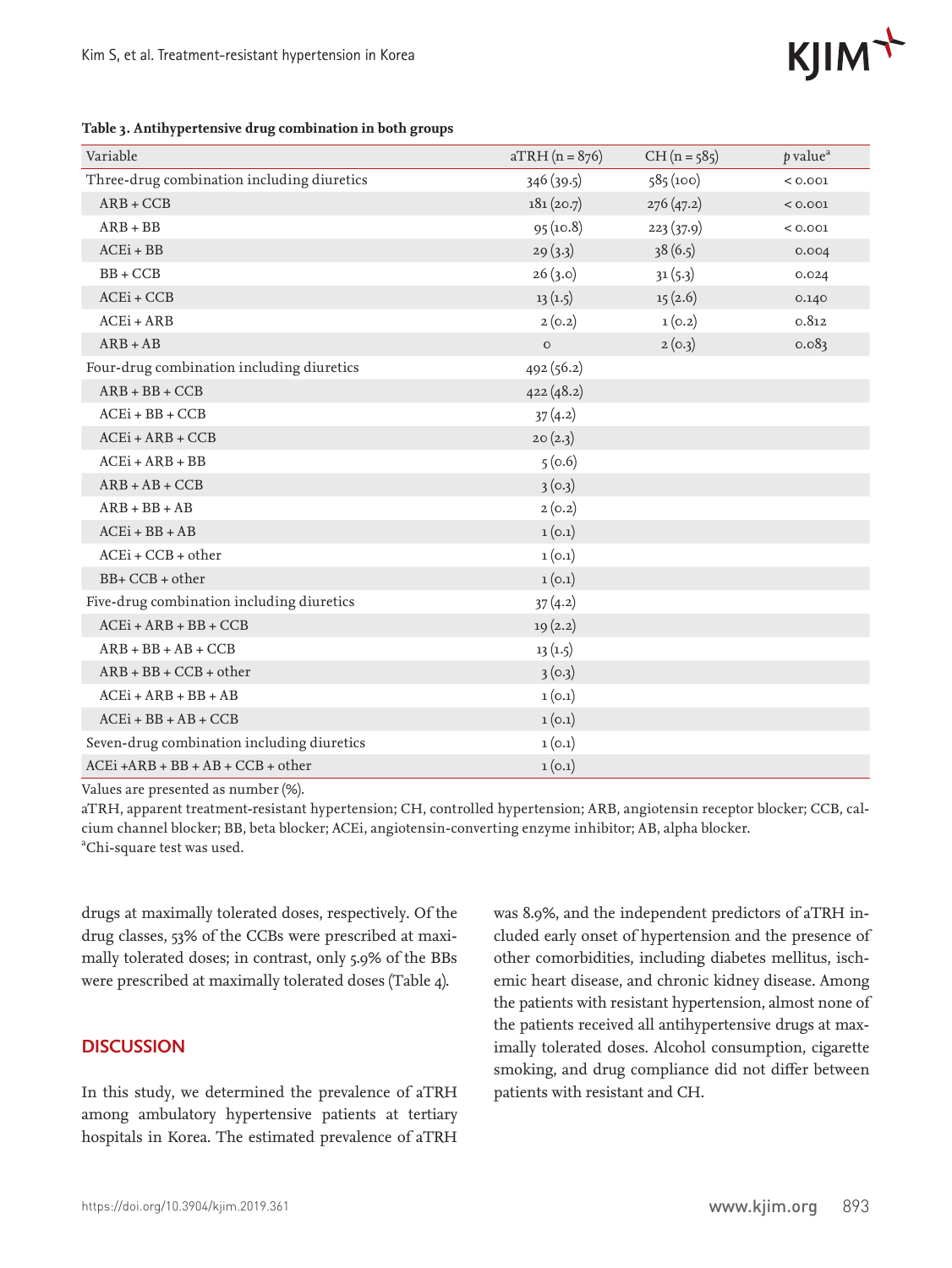# KJIM<sup></sup>

**Table 3. Antihypertensive drug combination in both groups**

| Variable                                   | $aTRH (n = 876)$ | $CH (n = 585)$ | $p$ value <sup><math>a</math></sup> |
|--------------------------------------------|------------------|----------------|-------------------------------------|
| Three-drug combination including diuretics | 346(39.5)        | 585(100)       | < 0.001                             |
| $ARB + CCB$                                | 181(20.7)        | 276(47.2)      | < 0.001                             |
| $ARB + BB$                                 | 95(10.8)         | 223(37.9)      | < 0.001                             |
| $ACEi + BB$                                | 29(3.3)          | 38(6.5)        | 0.004                               |
| $BB + CCB$                                 | 26(3.0)          | 31(5.3)        | 0.024                               |
| $ACEi + CCB$                               | 13(1.5)          | 15(2.6)        | 0.140                               |
| $ACEi + ARB$                               | 2(0.2)           | 1(0.2)         | 0.812                               |
| $ARB + AB$                                 | $\mathsf O$      | 2(0.3)         | 0.083                               |
| Four-drug combination including diuretics  | 492(56.2)        |                |                                     |
| $ARB + BB + CCB$                           | 422(48.2)        |                |                                     |
| $ACEi + BB + CCB$                          | 37(4.2)          |                |                                     |
| $ACEi + ARB + CCB$                         | 20(2.3)          |                |                                     |
| $ACEi + ARB + BB$                          | 5(0.6)           |                |                                     |
| $ARB + AB + CCB$                           | 3(0.3)           |                |                                     |
| $ARB + BB + AB$                            | 2(0.2)           |                |                                     |
| $ACEi + BB + AB$                           | 1(0.1)           |                |                                     |
| $ACEi + CCB + other$                       | 1(0.1)           |                |                                     |
| $BB + CCB + other$                         | 1(0.1)           |                |                                     |
| Five-drug combination including diuretics  | 37(4.2)          |                |                                     |
| $ACEi + ARB + BB + CCB$                    | 19(2.2)          |                |                                     |
| $ARB + BB + AB + CCB$                      | 13(1.5)          |                |                                     |
| $ARB + BB + CCB + other$                   | 3(0.3)           |                |                                     |
| $ACEi + ARB + BB + AB$                     | 1(0.1)           |                |                                     |
| $ACEi + BB + AB + CCB$                     | 1(0.1)           |                |                                     |
| Seven-drug combination including diuretics | 1(0.1)           |                |                                     |
| $ACEi + ARB + BB + AB + CCB + other$       | 1(0.1)           |                |                                     |

Values are presented as number (%).

aTRH, apparent treatment-resistant hypertension; CH, controlled hypertension; ARB, angiotensin receptor blocker; CCB, calcium channel blocker; BB, beta blocker; ACEi, angiotensin-converting enzyme inhibitor; AB, alpha blocker. <sup>a</sup>Chi-square test was used.

drugs at maximally tolerated doses, respectively. Of the drug classes, 53% of the CCBs were prescribed at maximally tolerated doses; in contrast, only 5.9% of the BBs were prescribed at maximally tolerated doses (Table 4).

### **DISCUSSION**

In this study, we determined the prevalence of aTRH among ambulatory hypertensive patients at tertiary hospitals in Korea. The estimated prevalence of aTRH

was 8.9%, and the independent predictors of aTRH included early onset of hypertension and the presence of other comorbidities, including diabetes mellitus, ischemic heart disease, and chronic kidney disease. Among the patients with resistant hypertension, almost none of the patients received all antihypertensive drugs at maximally tolerated doses. Alcohol consumption, cigarette smoking, and drug compliance did not differ between patients with resistant and CH.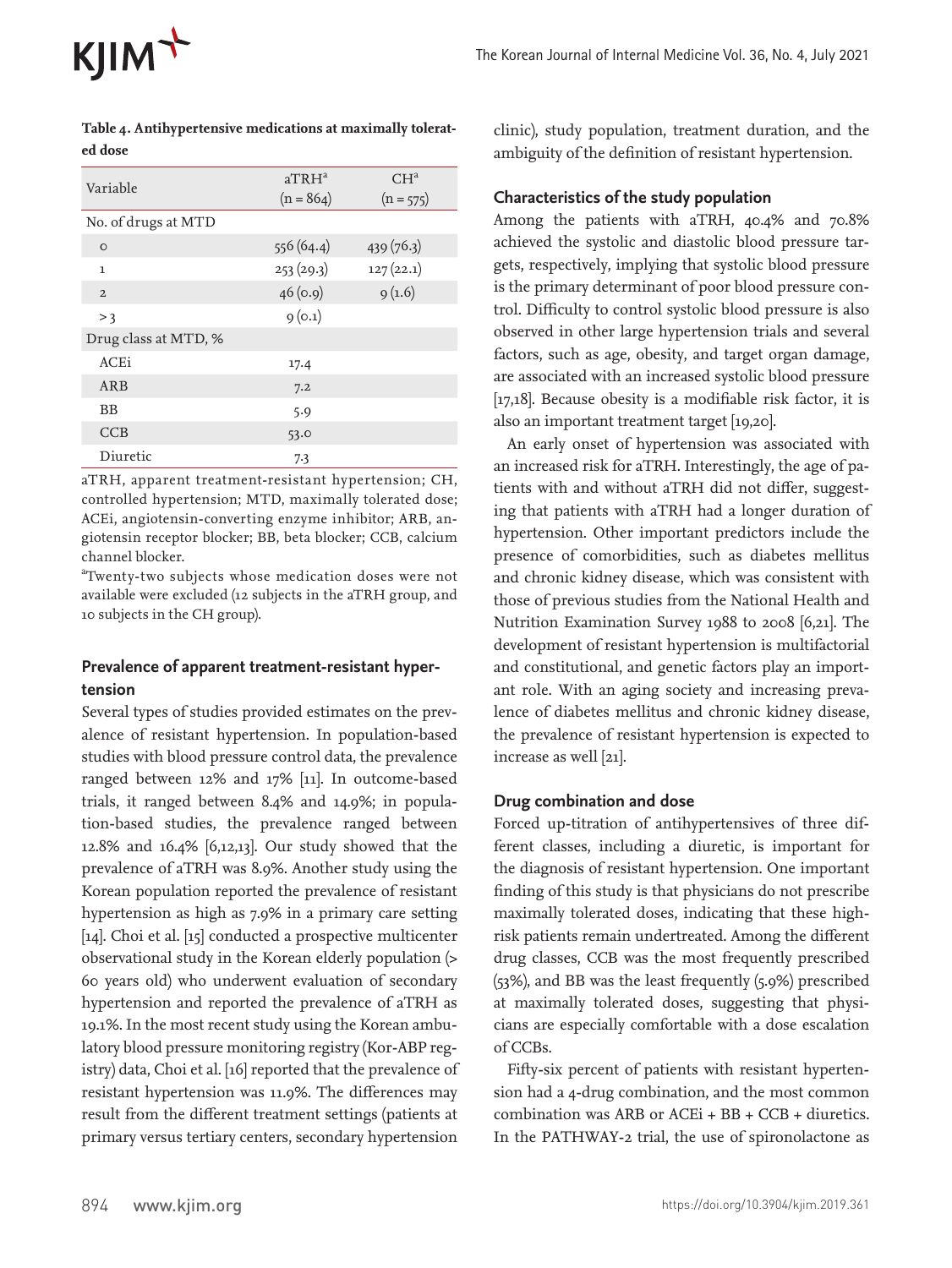| Variable             | $aTRH^a$<br>$(n = 864)$ | CH <sup>a</sup><br>$(n = 575)$ |
|----------------------|-------------------------|--------------------------------|
| No. of drugs at MTD  |                         |                                |
| $\circ$              | 556 (64.4)              | 439(76.3)                      |
| 1                    | 253 (29.3)              | 127(22.1)                      |
| $\overline{2}$       | 46(0.9)                 | 9(1.6)                         |
| > 3                  | 9(0.1)                  |                                |
| Drug class at MTD, % |                         |                                |
| <b>ACEi</b>          | 17.4                    |                                |
| ARB                  | 7.2                     |                                |
| BB                   | 5.9                     |                                |
| CCB                  | 53.0                    |                                |
| Diuretic             | 7.3                     |                                |

 **Table 4. Antihypertensive medications at maximally tolerated dose**

aTRH, apparent treatment-resistant hypertension; CH, controlled hypertension; MTD, maximally tolerated dose; ACEi, angiotensin-converting enzyme inhibitor; ARB, angiotensin receptor blocker; BB, beta blocker; CCB, calcium channel blocker.

a Twenty-two subjects whose medication doses were not available were excluded (12 subjects in the aTRH group, and 10 subjects in the CH group).

#### **Prevalence of apparent treatment-resistant hypertension**

Several types of studies provided estimates on the prevalence of resistant hypertension. In population-based studies with blood pressure control data, the prevalence ranged between 12% and 17% [11]. In outcome-based trials, it ranged between 8.4% and 14.9%; in population-based studies, the prevalence ranged between 12.8% and 16.4% [6,12,13]. Our study showed that the prevalence of aTRH was 8.9%. Another study using the Korean population reported the prevalence of resistant hypertension as high as 7.9% in a primary care setting [14]. Choi et al. [15] conducted a prospective multicenter observational study in the Korean elderly population (> 60 years old) who underwent evaluation of secondary hypertension and reported the prevalence of aTRH as 19.1%. In the most recent study using the Korean ambulatory blood pressure monitoring registry (Kor-ABP registry) data, Choi et al. [16] reported that the prevalence of resistant hypertension was 11.9%. The differences may result from the different treatment settings (patients at primary versus tertiary centers, secondary hypertension

clinic), study population, treatment duration, and the ambiguity of the definition of resistant hypertension.

#### **Characteristics of the study population**

Among the patients with aTRH, 40.4% and 70.8% achieved the systolic and diastolic blood pressure targets, respectively, implying that systolic blood pressure is the primary determinant of poor blood pressure control. Difficulty to control systolic blood pressure is also observed in other large hypertension trials and several factors, such as age, obesity, and target organ damage, are associated with an increased systolic blood pressure [17,18]. Because obesity is a modifiable risk factor, it is also an important treatment target [19,20].

An early onset of hypertension was associated with an increased risk for aTRH. Interestingly, the age of patients with and without aTRH did not differ, suggesting that patients with aTRH had a longer duration of hypertension. Other important predictors include the presence of comorbidities, such as diabetes mellitus and chronic kidney disease, which was consistent with those of previous studies from the National Health and Nutrition Examination Survey 1988 to 2008 [6,21]. The development of resistant hypertension is multifactorial and constitutional, and genetic factors play an important role. With an aging society and increasing prevalence of diabetes mellitus and chronic kidney disease, the prevalence of resistant hypertension is expected to increase as well [21].

#### **Drug combination and dose**

Forced up-titration of antihypertensives of three different classes, including a diuretic, is important for the diagnosis of resistant hypertension. One important finding of this study is that physicians do not prescribe maximally tolerated doses, indicating that these highrisk patients remain undertreated. Among the different drug classes, CCB was the most frequently prescribed (53%), and BB was the least frequently (5.9%) prescribed at maximally tolerated doses, suggesting that physicians are especially comfortable with a dose escalation of CCBs.

Fifty-six percent of patients with resistant hypertension had a 4-drug combination, and the most common combination was ARB or ACEi + BB + CCB + diuretics. In the PATHWAY-2 trial, the use of spironolactone as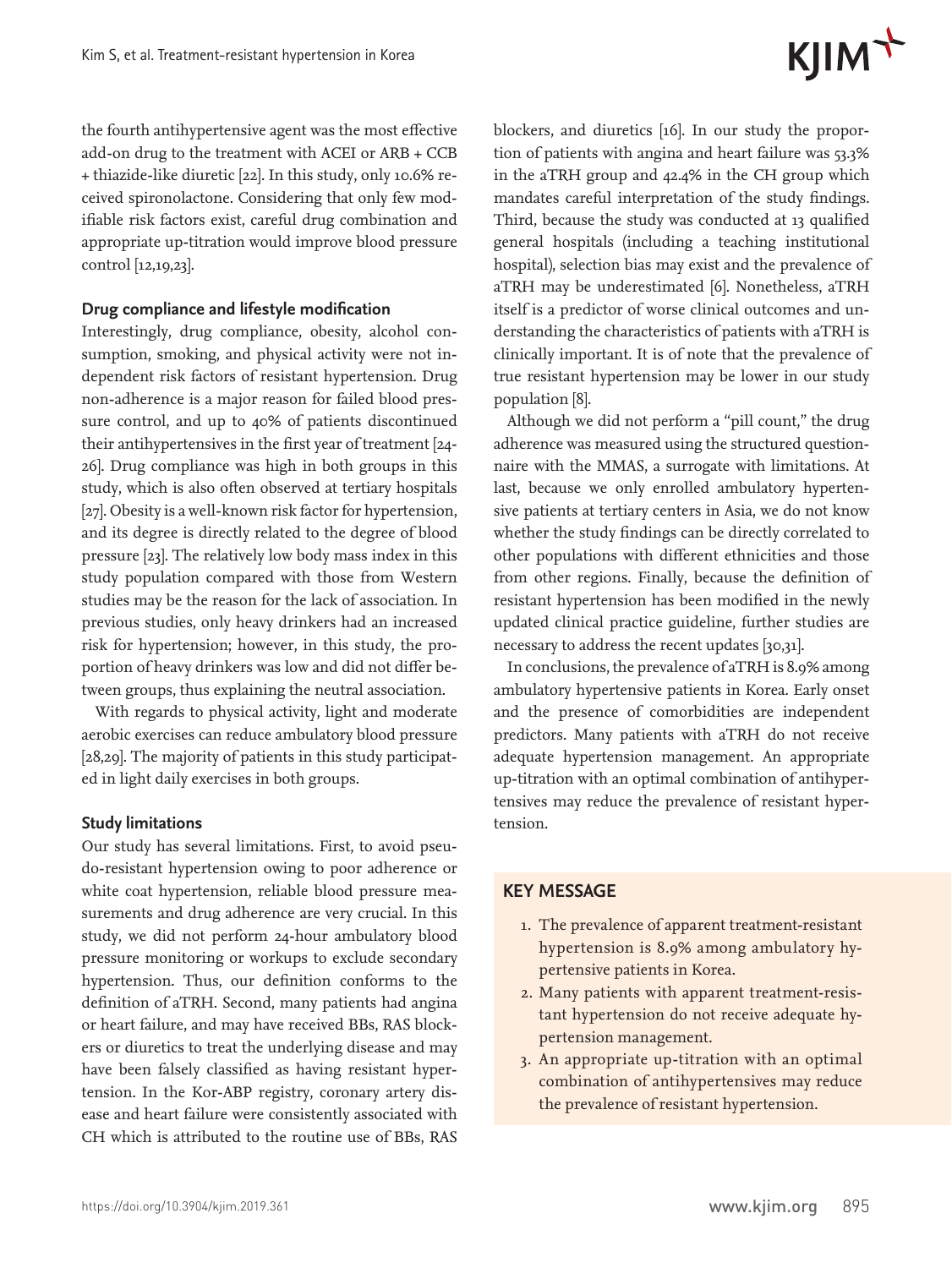# KJIM<sup>T</sup>

the fourth antihypertensive agent was the most effective add-on drug to the treatment with ACEI or ARB + CCB + thiazide-like diuretic [22]. In this study, only 10.6% received spironolactone. Considering that only few modifiable risk factors exist, careful drug combination and appropriate up-titration would improve blood pressure control [12,19,23].

#### **Drug compliance and lifestyle modification**

Interestingly, drug compliance, obesity, alcohol consumption, smoking, and physical activity were not independent risk factors of resistant hypertension. Drug non-adherence is a major reason for failed blood pressure control, and up to 40% of patients discontinued their antihypertensives in the first year of treatment [24- 26]. Drug compliance was high in both groups in this study, which is also often observed at tertiary hospitals [27]. Obesity is a well-known risk factor for hypertension, and its degree is directly related to the degree of blood pressure [23]. The relatively low body mass index in this study population compared with those from Western studies may be the reason for the lack of association. In previous studies, only heavy drinkers had an increased risk for hypertension; however, in this study, the proportion of heavy drinkers was low and did not differ between groups, thus explaining the neutral association.

With regards to physical activity, light and moderate aerobic exercises can reduce ambulatory blood pressure [28,29]. The majority of patients in this study participated in light daily exercises in both groups.

#### **Study limitations**

Our study has several limitations. First, to avoid pseudo-resistant hypertension owing to poor adherence or white coat hypertension, reliable blood pressure measurements and drug adherence are very crucial. In this study, we did not perform 24-hour ambulatory blood pressure monitoring or workups to exclude secondary hypertension. Thus, our definition conforms to the definition of aTRH. Second, many patients had angina or heart failure, and may have received BBs, RAS blockers or diuretics to treat the underlying disease and may have been falsely classified as having resistant hypertension. In the Kor-ABP registry, coronary artery disease and heart failure were consistently associated with CH which is attributed to the routine use of BBs, RAS

blockers, and diuretics [16]. In our study the proportion of patients with angina and heart failure was 53.3% in the aTRH group and 42.4% in the CH group which mandates careful interpretation of the study findings. Third, because the study was conducted at 13 qualified general hospitals (including a teaching institutional hospital), selection bias may exist and the prevalence of aTRH may be underestimated [6]. Nonetheless, aTRH itself is a predictor of worse clinical outcomes and understanding the characteristics of patients with aTRH is clinically important. It is of note that the prevalence of true resistant hypertension may be lower in our study population [8].

Although we did not perform a "pill count," the drug adherence was measured using the structured questionnaire with the MMAS, a surrogate with limitations. At last, because we only enrolled ambulatory hypertensive patients at tertiary centers in Asia, we do not know whether the study findings can be directly correlated to other populations with different ethnicities and those from other regions. Finally, because the definition of resistant hypertension has been modified in the newly updated clinical practice guideline, further studies are necessary to address the recent updates [30,31].

In conclusions, the prevalence of aTRH is 8.9% among ambulatory hypertensive patients in Korea. Early onset and the presence of comorbidities are independent predictors. Many patients with aTRH do not receive adequate hypertension management. An appropriate up-titration with an optimal combination of antihypertensives may reduce the prevalence of resistant hypertension.

#### **KEY MESSAGE**

- 1. The prevalence of apparent treatment-resistant hypertension is 8.9% among ambulatory hypertensive patients in Korea.
- 2. Many patients with apparent treatment-resistant hypertension do not receive adequate hypertension management.
- 3. An appropriate up-titration with an optimal combination of antihypertensives may reduce the prevalence of resistant hypertension.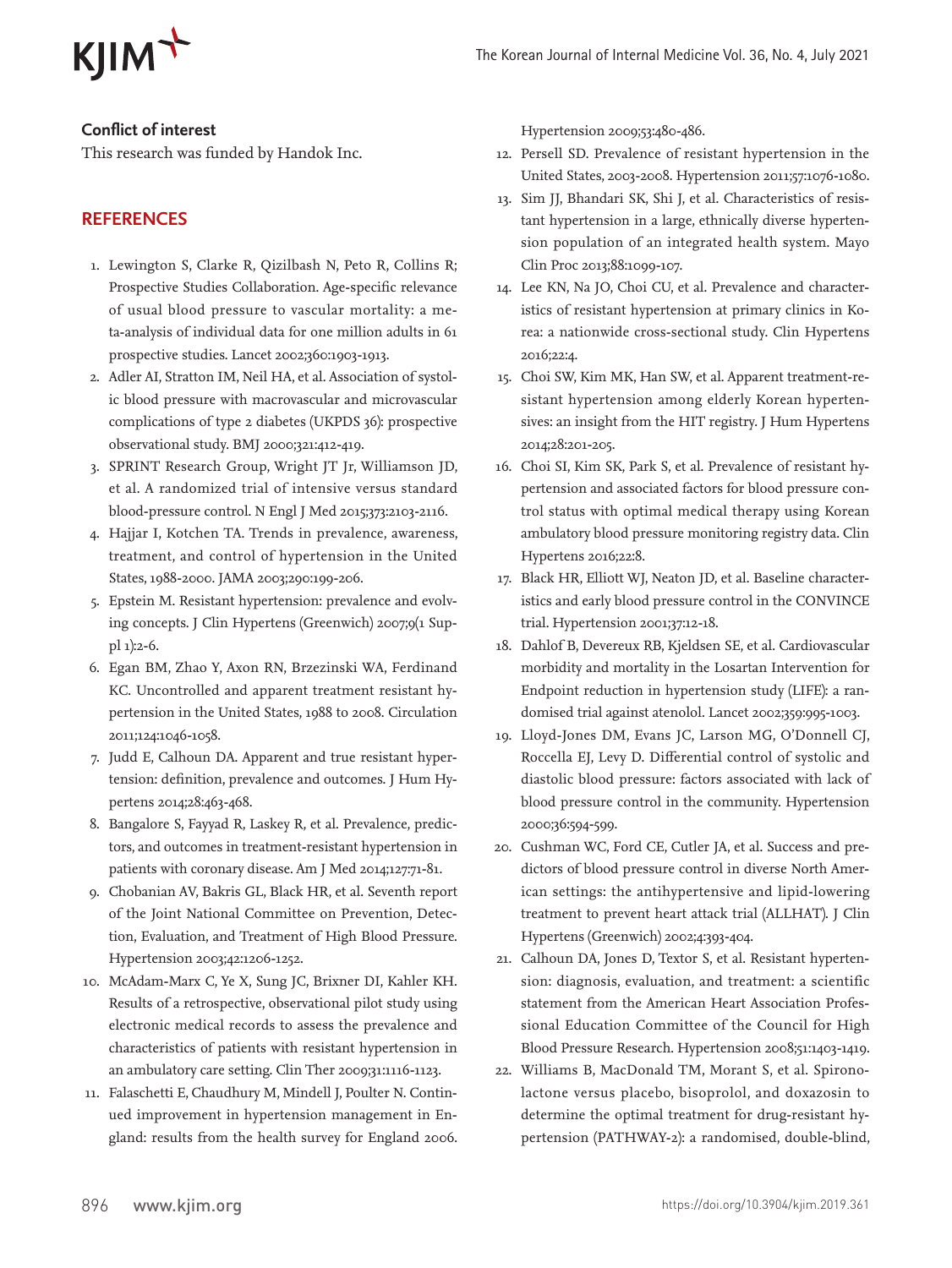

### **Conflict of interest**

This research was funded by Handok Inc.

### **REFERENCES**

- 1. Lewington S, Clarke R, Qizilbash N, Peto R, Collins R; Prospective Studies Collaboration. Age-specific relevance of usual blood pressure to vascular mortality: a meta-analysis of individual data for one million adults in 61 prospective studies. Lancet 2002;360:1903-1913.
- 2. Adler AI, Stratton IM, Neil HA, et al. Association of systolic blood pressure with macrovascular and microvascular complications of type 2 diabetes (UKPDS 36): prospective observational study. BMJ 2000;321:412-419.
- 3. SPRINT Research Group, Wright JT Jr, Williamson JD, et al. A randomized trial of intensive versus standard blood-pressure control. N Engl J Med 2015;373:2103-2116.
- 4. Hajjar I, Kotchen TA. Trends in prevalence, awareness, treatment, and control of hypertension in the United States, 1988-2000. JAMA 2003;290:199-206.
- 5. Epstein M. Resistant hypertension: prevalence and evolving concepts. J Clin Hypertens (Greenwich) 2007;9(1 Suppl 1):2-6.
- 6. Egan BM, Zhao Y, Axon RN, Brzezinski WA, Ferdinand KC. Uncontrolled and apparent treatment resistant hypertension in the United States, 1988 to 2008. Circulation 2011;124:1046-1058.
- 7. Judd E, Calhoun DA. Apparent and true resistant hypertension: definition, prevalence and outcomes. J Hum Hypertens 2014;28:463-468.
- 8. Bangalore S, Fayyad R, Laskey R, et al. Prevalence, predictors, and outcomes in treatment-resistant hypertension in patients with coronary disease. Am J Med 2014;127:71-81.
- 9. Chobanian AV, Bakris GL, Black HR, et al. Seventh report of the Joint National Committee on Prevention, Detection, Evaluation, and Treatment of High Blood Pressure. Hypertension 2003;42:1206-1252.
- 10. McAdam-Marx C, Ye X, Sung JC, Brixner DI, Kahler KH. Results of a retrospective, observational pilot study using electronic medical records to assess the prevalence and characteristics of patients with resistant hypertension in an ambulatory care setting. Clin Ther 2009;31:1116-1123.
- 11. Falaschetti E, Chaudhury M, Mindell J, Poulter N. Continued improvement in hypertension management in England: results from the health survey for England 2006.

Hypertension 2009;53:480-486.

- 12. Persell SD. Prevalence of resistant hypertension in the United States, 2003-2008. Hypertension 2011;57:1076-1080.
- 13. Sim JJ, Bhandari SK, Shi J, et al. Characteristics of resistant hypertension in a large, ethnically diverse hypertension population of an integrated health system. Mayo Clin Proc 2013;88:1099-107.
- 14. Lee KN, Na JO, Choi CU, et al. Prevalence and characteristics of resistant hypertension at primary clinics in Korea: a nationwide cross-sectional study. Clin Hypertens 2016;22:4.
- 15. Choi SW, Kim MK, Han SW, et al. Apparent treatment-resistant hypertension among elderly Korean hypertensives: an insight from the HIT registry. J Hum Hypertens 2014;28:201-205.
- 16. Choi SI, Kim SK, Park S, et al. Prevalence of resistant hypertension and associated factors for blood pressure control status with optimal medical therapy using Korean ambulatory blood pressure monitoring registry data. Clin Hypertens 2016;22:8.
- 17. Black HR, Elliott WJ, Neaton JD, et al. Baseline characteristics and early blood pressure control in the CONVINCE trial. Hypertension 2001;37:12-18.
- 18. Dahlof B, Devereux RB, Kjeldsen SE, et al. Cardiovascular morbidity and mortality in the Losartan Intervention for Endpoint reduction in hypertension study (LIFE): a randomised trial against atenolol. Lancet 2002;359:995-1003.
- 19. Lloyd-Jones DM, Evans JC, Larson MG, O'Donnell CJ, Roccella EJ, Levy D. Differential control of systolic and diastolic blood pressure: factors associated with lack of blood pressure control in the community. Hypertension 2000;36:594-599.
- 20. Cushman WC, Ford CE, Cutler JA, et al. Success and predictors of blood pressure control in diverse North American settings: the antihypertensive and lipid-lowering treatment to prevent heart attack trial (ALLHAT). J Clin Hypertens (Greenwich) 2002;4:393-404.
- 21. Calhoun DA, Jones D, Textor S, et al. Resistant hypertension: diagnosis, evaluation, and treatment: a scientific statement from the American Heart Association Professional Education Committee of the Council for High Blood Pressure Research. Hypertension 2008;51:1403-1419.
- 22. Williams B, MacDonald TM, Morant S, et al. Spironolactone versus placebo, bisoprolol, and doxazosin to determine the optimal treatment for drug-resistant hypertension (PATHWAY-2): a randomised, double-blind,